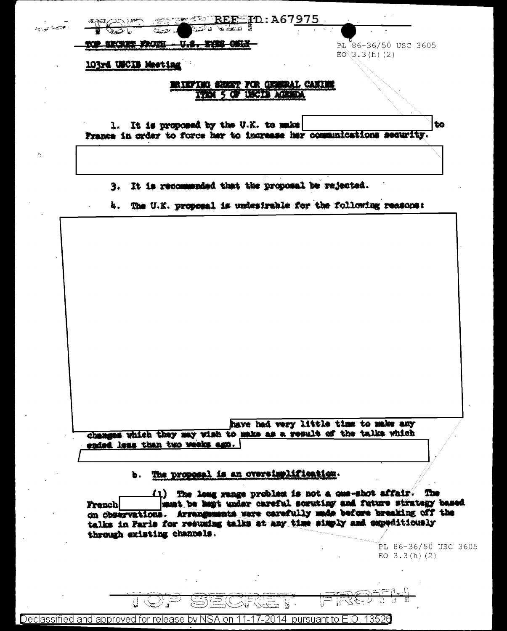| محصة تويهه |  |                     |                                      | <b>CERSON STORES</b>                                                  | $\frac{1}{200}$ $\frac{1}{200}$ $\frac{1}{200}$ $\frac{1}{200}$ $\frac{1}{200}$ $\frac{1}{200}$ $\frac{1}{200}$ $\frac{1}{200}$ $\frac{1}{200}$ $\frac{1}{200}$ $\frac{1}{200}$ $\frac{1}{200}$ $\frac{1}{200}$ $\frac{1}{200}$ $\frac{1}{200}$ $\frac{1}{200}$ $\frac{1}{200}$ $\frac{1}{200}$ $\frac{1$ |                    |                        |
|------------|--|---------------------|--------------------------------------|-----------------------------------------------------------------------|-----------------------------------------------------------------------------------------------------------------------------------------------------------------------------------------------------------------------------------------------------------------------------------------------------------|--------------------|------------------------|
|            |  |                     | <b>SECRET FROTH - U.S. SYNG ONLY</b> |                                                                       |                                                                                                                                                                                                                                                                                                           | $E0^{3}3.3(h)$ (2) | $PL$ 86-36/50 USC 3605 |
|            |  | 103rd USCIB Meeting |                                      |                                                                       |                                                                                                                                                                                                                                                                                                           |                    |                        |
|            |  |                     |                                      | MIKFING SHEKT FOR GENERAL CANING                                      |                                                                                                                                                                                                                                                                                                           |                    |                        |
|            |  |                     |                                      | TYPE 5 OF USCID AGENDA                                                |                                                                                                                                                                                                                                                                                                           |                    |                        |
|            |  |                     |                                      | 1. It is proposed by the U.K. to make                                 |                                                                                                                                                                                                                                                                                                           |                    |                        |
|            |  |                     |                                      | France in order to force her to increase her communications security. |                                                                                                                                                                                                                                                                                                           |                    |                        |
|            |  |                     |                                      |                                                                       |                                                                                                                                                                                                                                                                                                           |                    |                        |
|            |  |                     |                                      |                                                                       |                                                                                                                                                                                                                                                                                                           |                    |                        |
|            |  |                     |                                      |                                                                       |                                                                                                                                                                                                                                                                                                           |                    |                        |
|            |  |                     |                                      | 3. It is recommended that the proposal be rejected.                   |                                                                                                                                                                                                                                                                                                           |                    |                        |
|            |  |                     |                                      |                                                                       |                                                                                                                                                                                                                                                                                                           |                    |                        |
|            |  |                     |                                      | 4. The U.K. proposal is undestrable for the following reasons:        |                                                                                                                                                                                                                                                                                                           |                    |                        |
|            |  |                     |                                      |                                                                       |                                                                                                                                                                                                                                                                                                           |                    |                        |
|            |  |                     |                                      |                                                                       |                                                                                                                                                                                                                                                                                                           |                    |                        |
|            |  |                     |                                      |                                                                       |                                                                                                                                                                                                                                                                                                           |                    |                        |
|            |  |                     |                                      |                                                                       |                                                                                                                                                                                                                                                                                                           |                    |                        |
|            |  |                     |                                      |                                                                       |                                                                                                                                                                                                                                                                                                           |                    |                        |
|            |  |                     |                                      |                                                                       |                                                                                                                                                                                                                                                                                                           |                    |                        |
|            |  |                     |                                      |                                                                       |                                                                                                                                                                                                                                                                                                           |                    |                        |
|            |  |                     |                                      |                                                                       |                                                                                                                                                                                                                                                                                                           |                    |                        |
|            |  |                     |                                      |                                                                       |                                                                                                                                                                                                                                                                                                           |                    |                        |
|            |  |                     |                                      |                                                                       |                                                                                                                                                                                                                                                                                                           |                    |                        |
|            |  |                     |                                      |                                                                       |                                                                                                                                                                                                                                                                                                           |                    |                        |

changes which they may ended less than two weeks ago.

### The proposel is an oversimplifiestion. d.

 $(1)$  The long range problem is not a cos-shot affair. The must be hapt under careful scrutiny and future strategy based French on observations. Arrangements were carefully unde before breaking off the talks in Paris for resuming talks at any time simply and expeditionaly through existing channels.

> PL 86-36/50 USC 3605 EO  $3.3(h)(2)$

 $= 0.5$ ਸ਼

وينتهجوهما  $\mathbb{N}$ . Declassified and approved for release by NSA on 11-17-2014 pursuant to E.O. 13526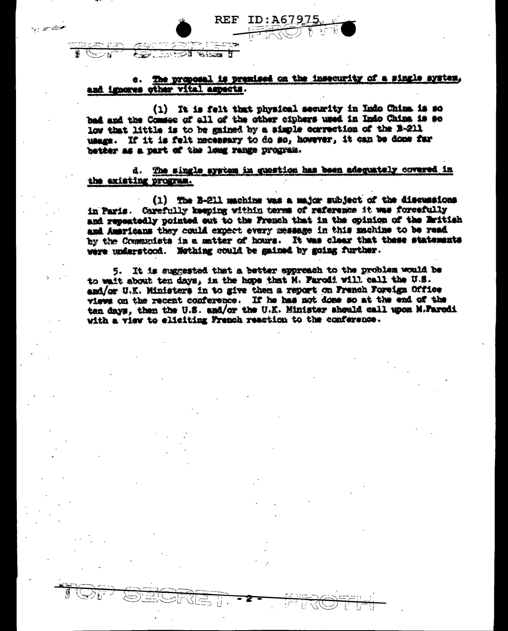|                       |                          | le. |
|-----------------------|--------------------------|-----|
| ۰ مختلف دی.<br>م<br>- | $\overline{\phantom{a}}$ |     |
| -<br><br>. .          |                          |     |

معين سيرابه

REF

## The proposal is premised on the insecurity of a single system, and imports other vital aspects.

ID:A67

(1) It is felt that physical security in Indo China is so bad and the Comsee of all of the other ciphers used in Indo China is so low that little is to be gained by a simple correction of the B-211 usage. If it is felt necessary to do so, however, it can be done far better as a part of the long range program.

d. The single system in question has been adequately covered in the existing program.

(1) The B-211 machine was a major subject of the discussions Carefully keeping within terms of reference it was forcefully in Paris. and repeatedly pointed out to the French that in the spinion of the British and Americans they could expect every message in this machine to be read by the Communists in a matter of hours. It was clear that these statements were understood. Nothing could be gained by going further.

5. It is suggested that a batter appreach to the problem would be to wait about ten days, in the hope that M. Parodi will call the U.S. and/or U.K. Ministers in to give them a report on French Foreign Office views on the recent conference. If he has not done so at the end of the ten days, then the U.S. and/or the U.K. Minister should call upon M.Parodi with a view to eliciting French reaction to the conference.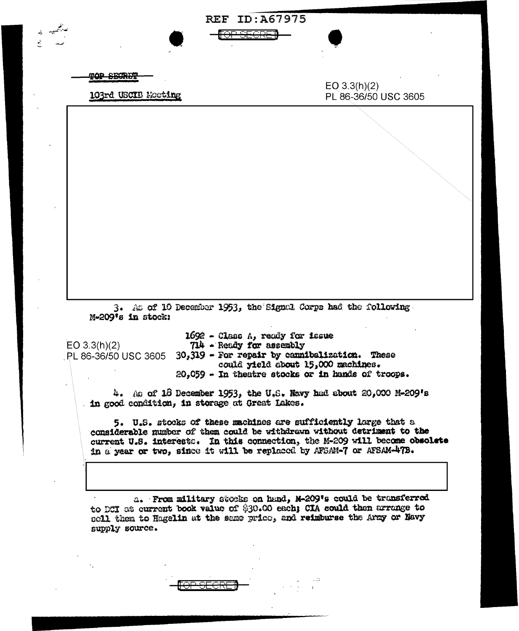| 103rd USCIB Mooting                                                                                                                                   | PL 86-36/50 USC 3605                                                                    |
|-------------------------------------------------------------------------------------------------------------------------------------------------------|-----------------------------------------------------------------------------------------|
|                                                                                                                                                       |                                                                                         |
|                                                                                                                                                       |                                                                                         |
|                                                                                                                                                       |                                                                                         |
|                                                                                                                                                       |                                                                                         |
|                                                                                                                                                       |                                                                                         |
|                                                                                                                                                       |                                                                                         |
|                                                                                                                                                       |                                                                                         |
|                                                                                                                                                       |                                                                                         |
|                                                                                                                                                       |                                                                                         |
|                                                                                                                                                       |                                                                                         |
|                                                                                                                                                       |                                                                                         |
| 3. As of 10 December 1953, the Signal Corps had the following.<br>M-209's in stock:                                                                   |                                                                                         |
| 1692 - Class A, ready for issue                                                                                                                       |                                                                                         |
| EO $3.3(h)(2)$<br>714 - Ready for assembly<br>$30,319$ - For repair by cannibalization. These<br>PL 86-36/50 USC 3605                                 |                                                                                         |
|                                                                                                                                                       | could yield about 15,000 machines.<br>20,059 - In theatre stocks or in hands of troops. |
| 4. As of 18 December 1953, the U.S. Navy had about 20,000 M-209's                                                                                     |                                                                                         |
| . in good condition, in storage at Great Lakes.                                                                                                       |                                                                                         |
|                                                                                                                                                       | 5. U.S. stocks of these machines are sufficiently large that a                          |
|                                                                                                                                                       |                                                                                         |
| considerable number of them could be withdrawn without detriment to the<br>current U.S. interests. In this connection, the M-209 will become obsolete |                                                                                         |
| in a year or two, since it will be replaced by AFSAM-7 or AFSAM-47B.                                                                                  |                                                                                         |
|                                                                                                                                                       |                                                                                         |

 $\label{eq:2.1} C_{\alpha} = \beta_{\alpha}$ 

 $\bar{\beta}$ 

 $\ddot{\phantom{1}}$ 

 $\hat{\mathcal{A}}$ 

 $\label{eq:2} \begin{array}{ll} \mathbb{E}[\mathbf{r}^{\top} \mathbf{r}^{\top} \mathbf{r}^{\top} \mathbf{r}^{\top} \mathbf{r}^{\top} ] \\ \mathbf{r}^{\top} \mathbf{r}^{\top} \mathbf{r}^{\top} \mathbf{r}^{\top} \mathbf{r}^{\top} \mathbf{r}^{\top} ] \end{array}$ 

à,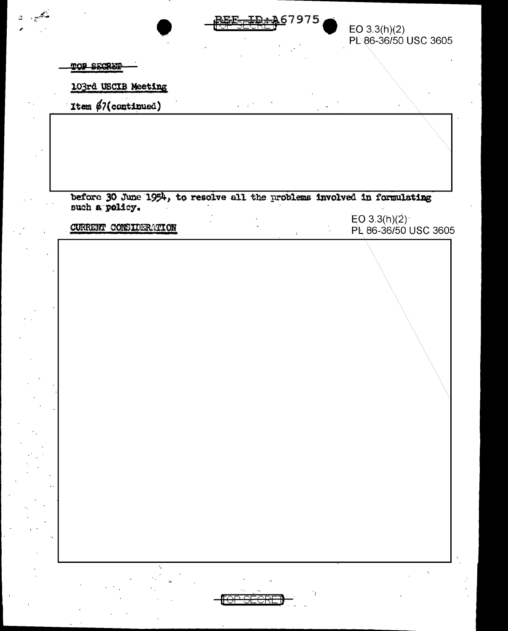

EO 3.3(h)(2)<br>PL 86-36/50 USC 3605

TOP SECRET

103rd USCIB Meeting

Item \$7(continued)

before 30 June 1954, to resolve all the problems involved in formulating such a policy.

CURRENT CONSIDERATION

EO 3.3(h)(2)<br>PL 86-36/50 USC 3605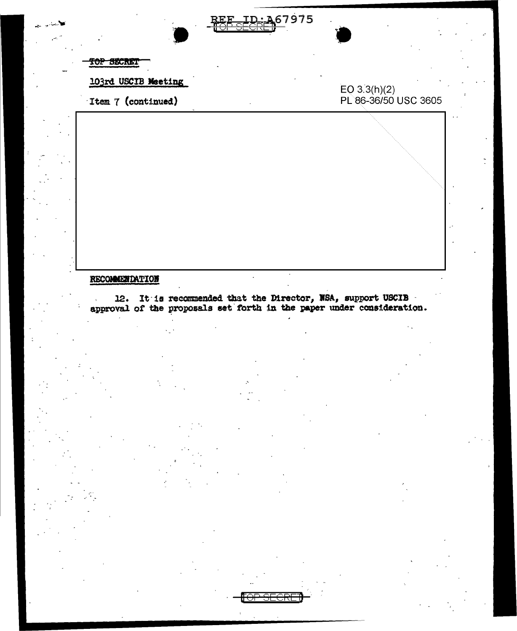

TOP SECRET

103rd USCIB Meeting

Item 7 (continued)

## EO 3.3(h)(2)<br>PL 86-36/50 USC 3605

## RECOMMENDATION

12. It is recommended that the Director, NSA, support USCIB approval of the proposals set forth in the paper under consideration.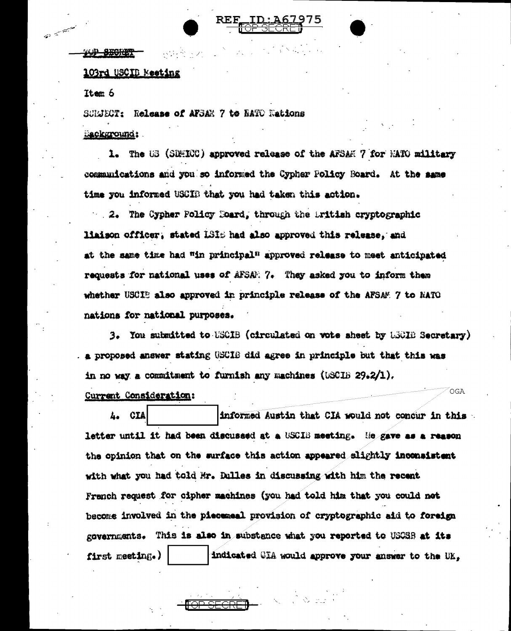

AP SECRET

## 103rd USCID Meeting

Item 6

 $\frac{1}{\sqrt{2}}\sum_{i=1}^n\frac{1}{\sqrt{2\pi i}}e^{i\omega t}$ 

SCRIECT: Release of AFSAN 7 to RATO Nations Background:

1. The US (SDMICC) approved release of the AFSAM 7 for MATO military commanications and you so informed the Cypher Policy Board. At the same time you informed USCIB that you had taken this action.

2. The Cypher Folicy Doard, through the British cryptographic liaison officer, stated LSIS had also approved this release, and at the same time had "in principal" approved release to meet anticipated requests for national uses of AFSAN: 7. They asked you to inform them whether USCIE also approved in principle release of the AFSAM 7 to NATO nations for national purposes.

3. You submitted to USCIB (circulated on vote sheet by LSCIE Secretary) a proposed answer stating USCIB did agree in principle but that this was in no way a commitment to furnish any machines (USCIB 29.2/1).

OGA

Current Consideration:

A. CIA informed Austin that CIA would not concur in this letter until it had been discussed at a USCIB meeting. He gave as a reason the opinion that on the surface this action appeared slightly inconsistent with what you had told Mr. Dulles in discussing with him the recent French request for cipher machines (you had told him that you could not become involved in the piecemeal provision of cryptographic aid to foreign governments. This is also in substance what you reported to USOSB at its indicated CIA would approve your answer to the UK, first meeting.)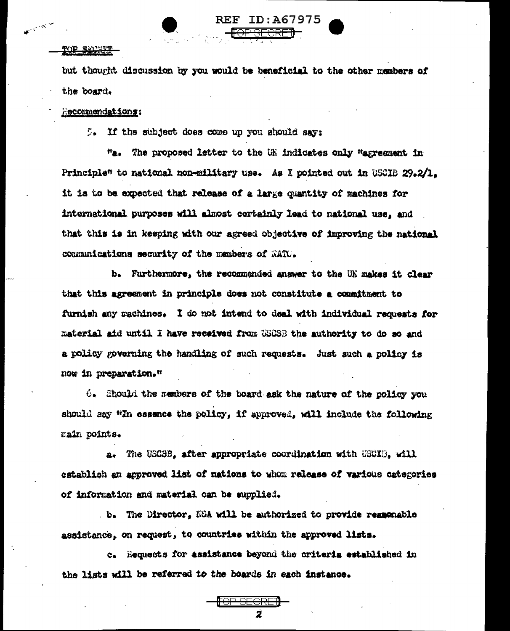### TOP SECRET

متهجيه

but thought discussion by you would be beneficial to the other members of the board.

REF ID:A67975

## Recommendations:

5. If the subject does come up you should say:

"a. The proposed letter to the UK indicates only "agreement in Principle" to national non-military use. As I pointed out in USCIB 29.2/1. it is to be expected that release of a large quantity of machines for international purposes will almost certainly lead to national use, and that this is in keeping with our agreed objective of improving the national communications security of the members of MATU.

b. Furthermore, the recommended answer to the UK makes it clear that this agreement in principle does not constitute a commitment to furnish any machines. I do not intend to deal with individual requests for material aid until I have received from USCSB the authority to do so and a policy governing the handling of such requests. Just such a policy is now in preparation."

 $6.$  Should the members of the board ask the nature of the policy you should say "In essence the policy, if approved, will include the following main points.

a. The USCSB. after appropriate coordination with USCIE. will establish an approved list of nations to whom release of various categories of information and material can be supplied.

b. The Director, NSA will be authorized to provide rememeble assistance, on request, to countries within the approved lists.

c. Requests for assistance beyond the criteria established in the lists will be referred to the boards in each instance.

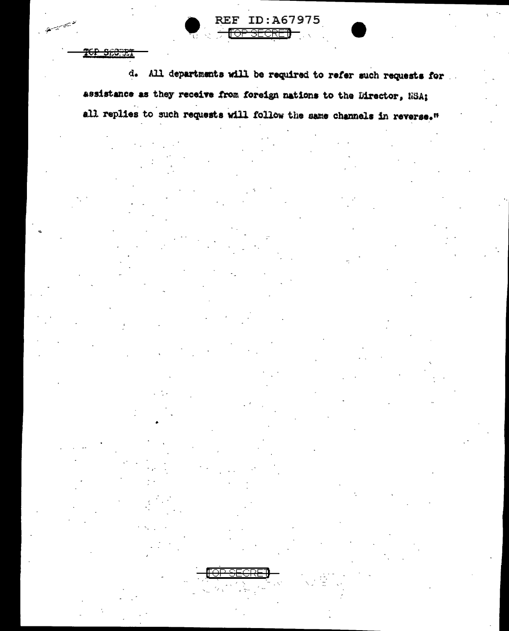TGP SECTET

تستعينهم

d. All departments will be required to refer such requests for assistance as they receive from foreign nations to the Director, NSA; all replies to such requests will follow the same channels in reverse."

**REF ID: A67975** 

<del>SFCRF</del>

ਜਿ⊖ਜ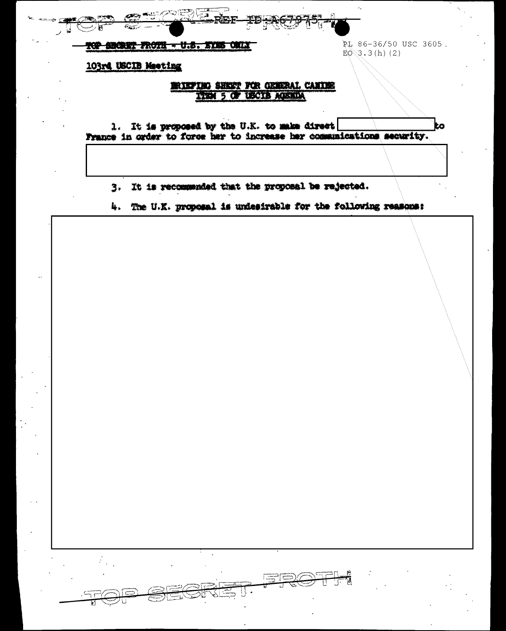

**FOP SECRET FROTE - U.S. EYES ONLY** 

PL 86-36/50 USC 3605.  $E0$  3.3(h)(2)

ż0

103rd USCIB Meeting

## BRIEFING SHEET FOR GENERAL CANIES TIEM 5 OF USCIB AGENDA

1. It is proposed by the U.K. to make direct France in order to force her to increase her communications security.

3. It is recommended that the proposal be rejected.

4. The U.K. proposal is undestrable for the following reasons: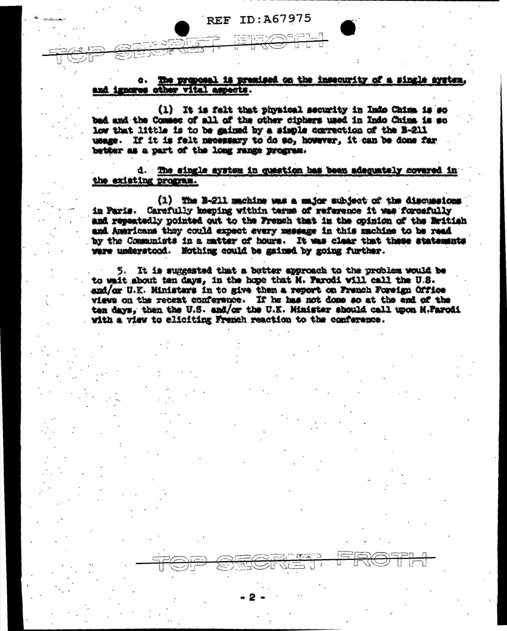**REF ID: A67975** 

c. The proposal is premised on the insecurity of a single system, and importe other vital aspects.

(1) It is falt that physical security in Indo China is so bad and the Commes of all of the other cipbers used in Indo China is so low that little is to be gained by a simple correction of the B-211 usage. If it is felt necessary to do so, however, it can be done far better as a part of the long range program.

d. The single aystem in question has been adequately covered in the existing program.

(1) The B-211 machine was a smjor subject of the discussions in Paris. Carefully keeping within terms of reference it was forcefully and reseatedly nointed out to the French that in the opinion of the British and Americans they could expect every message in this machine to be read by the Communists in a matter of hours. It was clear that these statements were understood. Nothing could be gained by going further.

5. It is summmed that a better approach to the problem would be to wait about ten days, in the hope that H. Parodi will call the U.S. and/or U.K. Ministars in to give them a report on French Foreign Office views on the recent conference. If he has not done so at the end of the ten days, then the U.S. and/or the U.K. Minister should call upon M.Parodi with a view to eliciting French reaction to the conference.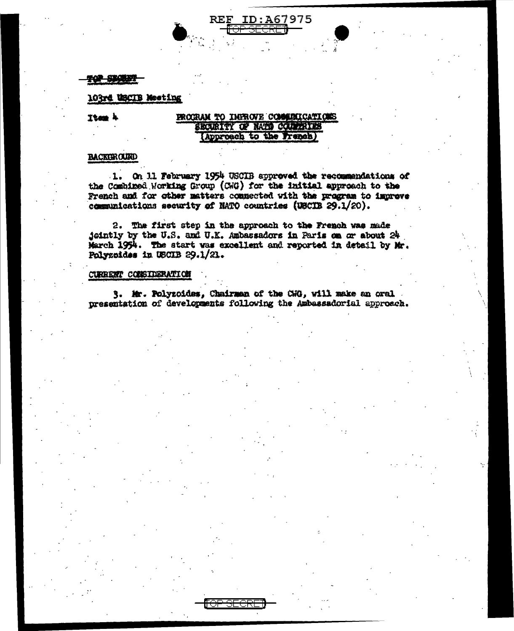**12 SECRET** 

## 103rd USCIB Mosting

Item 4

## PROCRAM TO IMPROVE COMMUNICATIONS SECURITY OF NATIO COUNTRIES (Approach to the French)

**REF ID: A67975** 

## **BACKEROUND**

1. On 11 February 1954 USCIB approved the recommendations of the Combined Working Group (CWG) for the initial approach to the French and for other matters connected with the program to improve communications security of NATO countries (USCIB 29.1/20).

2. The first step in the approach to the French was made jointly by the U.S. and U.K. Ambassadors in Paris on or about 24 March 1954. The start was excellent and reported in detail by Mr. Polyzoides in USCIB  $29.1/21$ .

## CURRENT CONSIDERATION

3. Mr. Polyzoides, Chairman of the CNG, will make an oral presentation of developments following the Ambassadorial approach.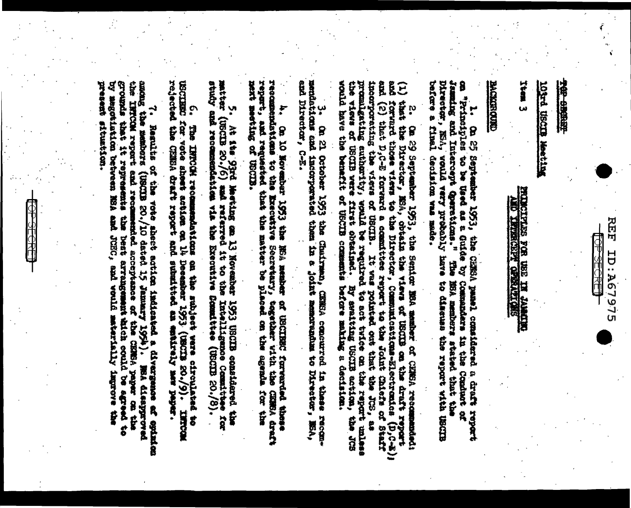

## THE SECTION

# **Matthew EDGED by DECOT**

Item 3

# **SECOND TRANSPORTED TRANSPORT**

## **CREDIT CORPORE**

Jamming and Intercept Qpersticms." The MSA members stated that the theories of the conditional process. Not the<br>Director, NSA, would very probably have to discuss the report with USCIB<br>before a final decision was made. l. On 25 metasies 1953, die GEES housel aanwalkersel a draft report

g<br>B incorporating the views of USCIB. It was pointed out that the JCS; as incomporporating authority, well is a report that the distribution of the strain in the strain of the strain of the strain of the strain of the strain o Ê the views of USCIB were first obtained. By swaiting USCIB sotion,<br>would have the benefit of USCIB comments before making a decision.  $\widehat{\epsilon}$ that the Director, ESA, obtain the wide on the communications on the draft reportforwards and (a) Į0 Ca 29 September 1953, the Senior MSA member of CRNSA recom a committee raport to the Joint Chiefs of Staff t De basie  $(1, 0, 0, 0)$ 

3. On 21 ortober 1953 and marked American concurred in the second composer of the seconemp Directed, C-E-

4. On 10 Hevember 1953 the HSA member of USCIBEC furvaried these transportants of the comment of the control of the state of the state of the control of the control of the control of the control of the state of the control ment meeting of USCIB.

study and recommendents was the internative Committee (135CED 20./8). matter ¥ At its 1972 Meather am 13 November 1953 USCIS considered the and the self-

C. The IMpropriation and the second on the action of the state of required of the state of the state of the state of the state of the state of the state of the state of the state of the state of the state of the state of t **THECOM** 

grounds that it represents the best arrangement inich could be agreed to the terministic properties of the the **SOON DESCRIPTION AND SHART SHART** SECONDE PART SHOWS **Disams** لہ<br>\* **ARTHURSHIP** Regulies of the vote sheet action imalizated a divergence of epinion stad acceptance of she cisted anger can the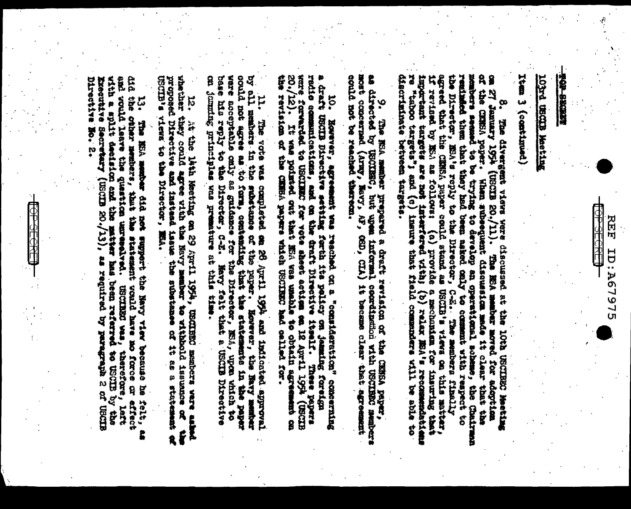丙丙

ID: A67975

## 103rd 08CDB Meeting

Teamtrimed) { mati

members seemed to be trying to develop an operational scheme, the Chairman results of the contrans to the contrans to the contrans the contrans in the contrans of the strate to develop the propert to the reproduction of th discriminate between targes. of the critical paper. on 21 The divergent views and the beam of the 10th distribution in the 10th distribution has the solution of the contract of the contract of the contract of the contract of the contract of the contract of the contract of t "taboo targets"; and (c) insure that field commoders will be able to When subsequent discussion made it clear that the

nost concerned (Army, Navy, A. 9. The ECR rember prepared a draft revision on the CENSA paper, errors as the content of the content of the street of the content of the content of the content of the content of the content of the content of the content of

10. 10. Bowever, agreement was reached on a "consideration" concerning<br>a draft USCIB Birective setting forth its policy on jemaing foreign<br>redio communications, and on the draft Birective itself. These papers<br>vere forwarde the revision of the CHRBA papers which USCIERS had called for.  $-(21)'$  02 It was pointed and that the son unable to the chain and the contributed com-

11. Ile vote was completed an 28 April 1994 and indicated approval<br>by all member in the substance of the paper. Ecrevements in the paper<br>could not agree as to form, contanting that the statements in the paper<br>ware acceptab on jountag principles was premature at this time.

12. 14: the little same but the section on 29 April 1974, USCIEED members ware asked below the form of the same of the second results of the same of the same of the same of the same of the same of the same of the same of t USCIE a views the Director', M&A.

and vould leave the question umrested. USCIERS was, therefore, left<br>with a split decision and the mateur has been referred to USCIE by the did the other members, that the statement vould have mo force of effect 口社りののかいすめ、話り・ わ・ Executive Secretary (UNICIB 20), as required by paragraph 2 of USCIB to<br>• The Hist member did not wappent the Nevy view on the head **fals** g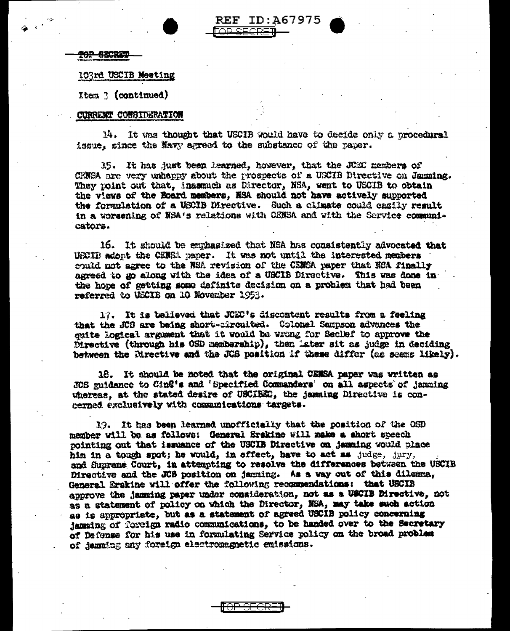**REF ID:A67975** IR SECRET

10P SECRE

## 103rd USCIB Meeting

Item 3 (continued)

## CURRENT CONSIDERATION

14. It was thought that USCIB would have to decide only a procedural issue, since the Navy agreed to the substance of the paper.

15. It has just been learned, however, that the JCEC members of CENSA are very unhappy about the prospects of a USCIB Directive on Janming. They point out that, insumuch as Director, NSA, went to USCIB to obtain the views of the Board members, NSA should not have actively supported the formulation of a USCIB Directive. Such a climate could easily result in a worsening of NSA's relations with CENSA and with the Service communicators.

16. It should be emphasized that NSA has consistently advocated that USCIB adopt the CENSA paper. It was not until the interested members could not agree to the WSA revision of the CEMSA paper that NSA finally agreed to go along with the idea of a USCIB Directive. This was done in the hope of getting some definite decision on a problem that had been referred to USCIB on 10 November 1953.

17. It is believed that JCEC's discontent results from a feeling that the JCS are being short-circuited. Colonel Sampson advances the quite logical argument that it would be wrong for Seclef to approve the Directive (through his OSD membership), then later sit as judge in deciding between the Directive and the JCS position if these differ (as seems likely).

18. It should be noted that the original CENSA paper was written as JCS guidance to Cin@'s and 'Specified Commanders' on all aspects of jamming whereas, at the stated desire of USCIBEC, the jamming Directive is concerned exclusively with communications targets.

19. It has been learned unofficially that the position of the OSD member will be as follows: General Erskine will make a short speech pointing out that issuance of the USCIB Directive on jamming would place him in a tough spot; he would, in effect, have to act as judge, jury, and Supreme Court, in attempting to resolve the differences between the USCIB Directive and the JCS position on jamming. As a way out of this dilemma, General Erskine will offer the following recommendations: that USCIB approve the jamming paper under consideration, not as a USCIB Directive, not as a statement of policy on which the Director, NSA, may take such action as is appropriate, but as a statement of agreed USCIB policy concerning jamming of foreign radio communications, to be handed over to the Secretary of Defense for his use in formulating Service policy on the broad problem of jamming any foreign electromagnetic emissions.

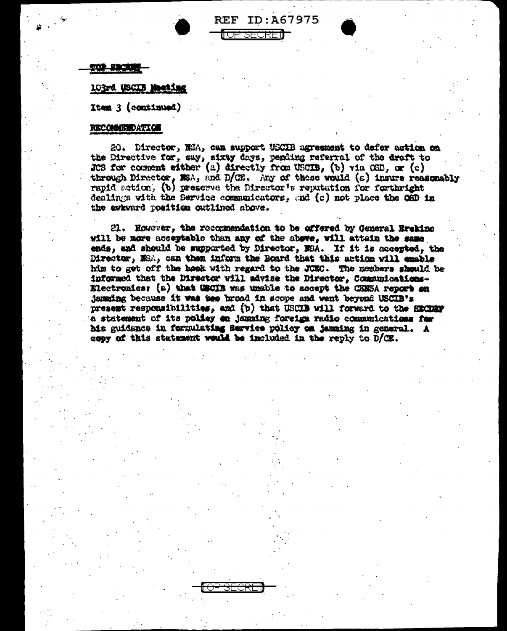

**REF ID:A67975** 

<del>OP SECRE</del>

## <u>FOP FROKAN</u>

## 103rd USCIB Mosting

 $It = 3 (constant)$ 

## **RECOMMENDATION**

20. Director, NSA, can support USCIB agreement to defer action on the Directive for, say, sixty days, pending referral of the draft to JCS for comment either (a) directly from USCIB, (b) via  $OSD$ , or (c) through Director, NSA, and D/CE. Any of these would  $(\varepsilon)$  insure reasonably rapid action, (b) preserve the Director's reputation for forthright dealings with the Service communicators, and (c) not place the OSD in the awkward position outlined above.

21. However, the recommendation to be offered by General Ermking will be more acceptable than any of the above, will attain the same ends, and should be supported by Director, NSA. If it is accepted, the Director, MSA, can then inform the Board that this action will emable him to get off the hook with regard to the JUEC. The members should be informed that the Director will advise the Director, Communications-Electronics: (a) that USCIB was unable to accept the CENSA report on jamming because it was too broad in scope and went beyond USCIB's present responsibilities, and (b) that USCIB will forward to the SECDEF e statement of its policy en jazzing foreign radio communications for his guidance in formulating Service policy on jamaing in general. A copy of this statement would be included in the reply to D/CE.